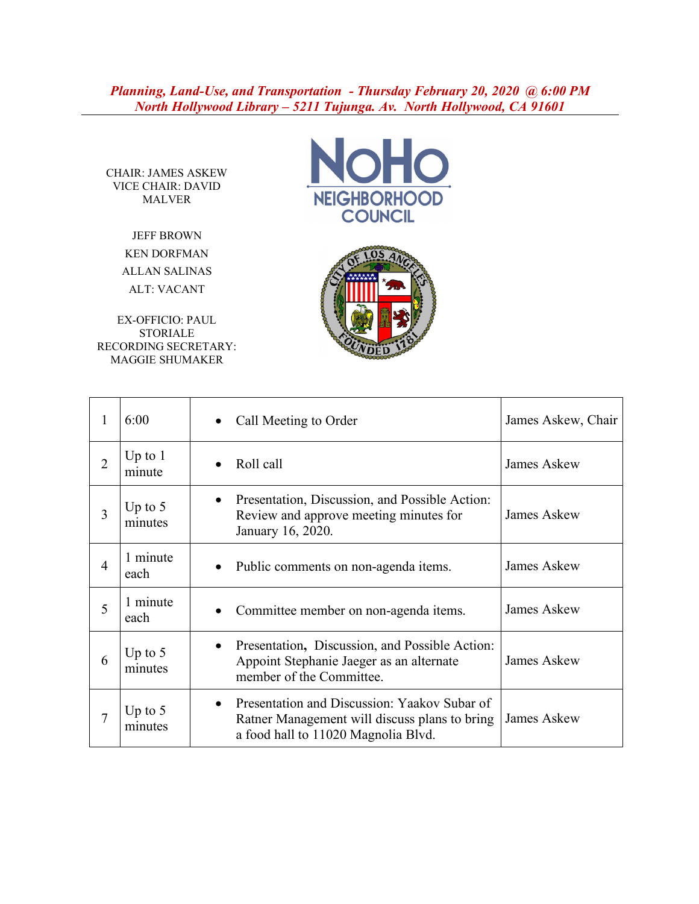## *Planning, Land-Use, and Transportation - Thursday February 20, 2020 @ 6:00 PM North Hollywood Library – 5211 Tujunga. Av. North Hollywood, CA 91601*

CHAIR: JAMES ASKEW VICE CHAIR: DAVID MALVER

> JEFF BROWN KEN DORFMAN ALLAN SALINAS ALT: VACANT

EX-OFFICIO: PAUL STORIALE RECORDING SECRETARY: MAGGIE SHUMAKER





| 1              | 6:00                 | Call Meeting to Order                                                                                                                             | James Askew, Chair |
|----------------|----------------------|---------------------------------------------------------------------------------------------------------------------------------------------------|--------------------|
| $\overline{2}$ | Up to $1$<br>minute  | Roll call                                                                                                                                         | James Askew        |
| 3              | Up to $5$<br>minutes | Presentation, Discussion, and Possible Action:<br>$\bullet$<br>Review and approve meeting minutes for<br>January 16, 2020.                        | James Askew        |
| 4              | 1 minute<br>each     | Public comments on non-agenda items.                                                                                                              | James Askew        |
| 5              | 1 minute<br>each     | Committee member on non-agenda items.                                                                                                             | <b>James Askew</b> |
| 6              | Up to $5$<br>minutes | Presentation, Discussion, and Possible Action:<br>$\bullet$<br>Appoint Stephanie Jaeger as an alternate<br>member of the Committee.               | James Askew        |
| 7              | Up to $5$<br>minutes | Presentation and Discussion: Yaakov Subar of<br>$\bullet$<br>Ratner Management will discuss plans to bring<br>a food hall to 11020 Magnolia Blvd. | James Askew        |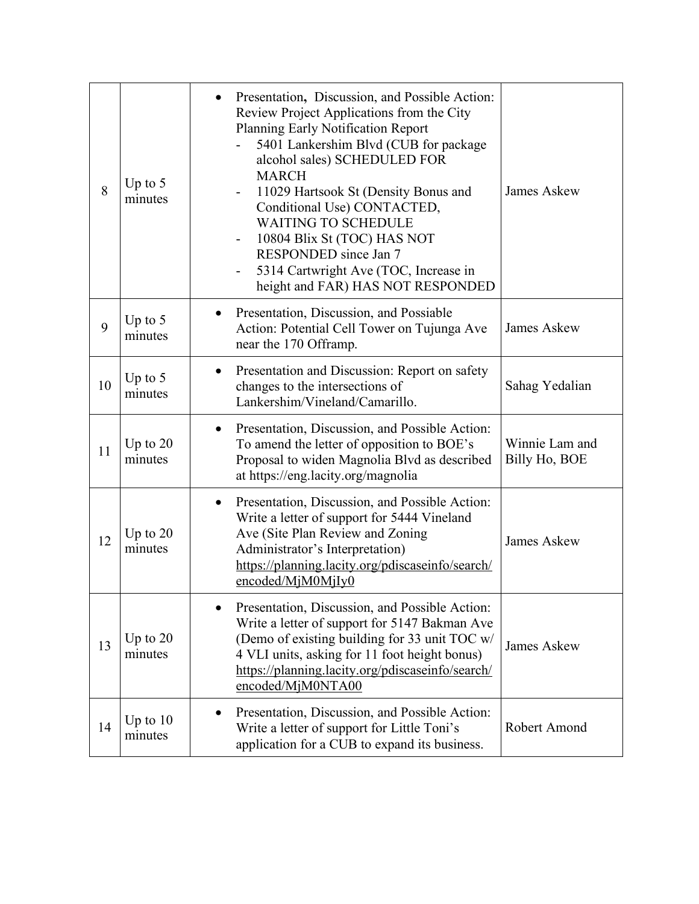| 8  | Up to $5$<br>minutes  | Presentation, Discussion, and Possible Action:<br>Review Project Applications from the City<br>Planning Early Notification Report<br>5401 Lankershim Blvd (CUB for package<br>alcohol sales) SCHEDULED FOR<br><b>MARCH</b><br>11029 Hartsook St (Density Bonus and<br>Conditional Use) CONTACTED,<br><b>WAITING TO SCHEDULE</b><br>10804 Blix St (TOC) HAS NOT<br>RESPONDED since Jan 7<br>5314 Cartwright Ave (TOC, Increase in<br>height and FAR) HAS NOT RESPONDED | <b>James Askew</b>              |
|----|-----------------------|-----------------------------------------------------------------------------------------------------------------------------------------------------------------------------------------------------------------------------------------------------------------------------------------------------------------------------------------------------------------------------------------------------------------------------------------------------------------------|---------------------------------|
| 9  | Up to $5$<br>minutes  | Presentation, Discussion, and Possiable<br>Action: Potential Cell Tower on Tujunga Ave<br>near the 170 Offramp.                                                                                                                                                                                                                                                                                                                                                       | <b>James Askew</b>              |
| 10 | Up to $5$<br>minutes  | Presentation and Discussion: Report on safety<br>changes to the intersections of<br>Lankershim/Vineland/Camarillo.                                                                                                                                                                                                                                                                                                                                                    | Sahag Yedalian                  |
| 11 | Up to $20$<br>minutes | Presentation, Discussion, and Possible Action:<br>To amend the letter of opposition to BOE's<br>Proposal to widen Magnolia Blvd as described<br>at https://eng.lacity.org/magnolia                                                                                                                                                                                                                                                                                    | Winnie Lam and<br>Billy Ho, BOE |
| 12 | Up to $20$<br>minutes | Presentation, Discussion, and Possible Action:<br>$\bullet$<br>Write a letter of support for 5444 Vineland<br>Ave (Site Plan Review and Zoning<br>Administrator's Interpretation)<br>https://planning.lacity.org/pdiscaseinfo/search/<br>encoded/MjM0MjIy0                                                                                                                                                                                                            | <b>James Askew</b>              |
| 13 | Up to $20$<br>minutes | Presentation, Discussion, and Possible Action:<br>Write a letter of support for 5147 Bakman Ave<br>(Demo of existing building for 33 unit TOC w/<br>4 VLI units, asking for 11 foot height bonus)<br>https://planning.lacity.org/pdiscaseinfo/search/<br>encoded/MjM0NTA00                                                                                                                                                                                            | <b>James Askew</b>              |
| 14 | Up to $10$<br>minutes | Presentation, Discussion, and Possible Action:<br>Write a letter of support for Little Toni's<br>application for a CUB to expand its business.                                                                                                                                                                                                                                                                                                                        | Robert Amond                    |